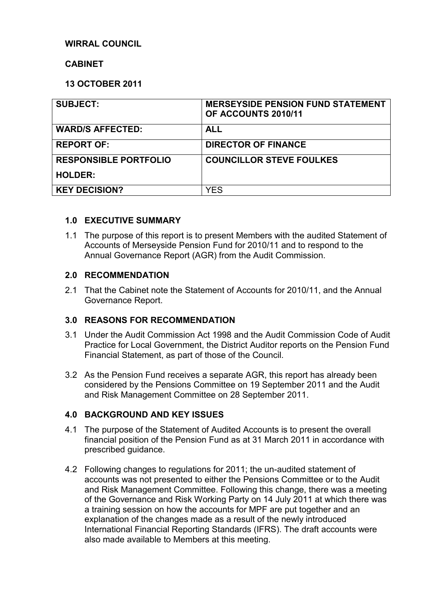# **WIRRAL COUNCIL**

# **CABINET**

# **13 OCTOBER 2011**

| <b>SUBJECT:</b>              | <b>MERSEYSIDE PENSION FUND STATEMENT</b><br>OF ACCOUNTS 2010/11 |
|------------------------------|-----------------------------------------------------------------|
| <b>WARD/S AFFECTED:</b>      | <b>ALL</b>                                                      |
| <b>REPORT OF:</b>            | <b>DIRECTOR OF FINANCE</b>                                      |
| <b>RESPONSIBLE PORTFOLIO</b> | <b>COUNCILLOR STEVE FOULKES</b>                                 |
| <b>HOLDER:</b>               |                                                                 |
| <b>KEY DECISION?</b>         | YES                                                             |

# **1.0 EXECUTIVE SUMMARY**

1.1 The purpose of this report is to present Members with the audited Statement of Accounts of Merseyside Pension Fund for 2010/11 and to respond to the Annual Governance Report (AGR) from the Audit Commission.

# **2.0 RECOMMENDATION**

2.1 That the Cabinet note the Statement of Accounts for 2010/11, and the Annual Governance Report.

#### **3.0 REASONS FOR RECOMMENDATION**

- 3.1 Under the Audit Commission Act 1998 and the Audit Commission Code of Audit Practice for Local Government, the District Auditor reports on the Pension Fund Financial Statement, as part of those of the Council.
- 3.2 As the Pension Fund receives a separate AGR, this report has already been considered by the Pensions Committee on 19 September 2011 and the Audit and Risk Management Committee on 28 September 2011.

#### **4.0 BACKGROUND AND KEY ISSUES**

- 4.1 The purpose of the Statement of Audited Accounts is to present the overall financial position of the Pension Fund as at 31 March 2011 in accordance with prescribed guidance.
- 4.2 Following changes to regulations for 2011; the un-audited statement of accounts was not presented to either the Pensions Committee or to the Audit and Risk Management Committee. Following this change, there was a meeting of the Governance and Risk Working Party on 14 July 2011 at which there was a training session on how the accounts for MPF are put together and an explanation of the changes made as a result of the newly introduced International Financial Reporting Standards (IFRS). The draft accounts were also made available to Members at this meeting.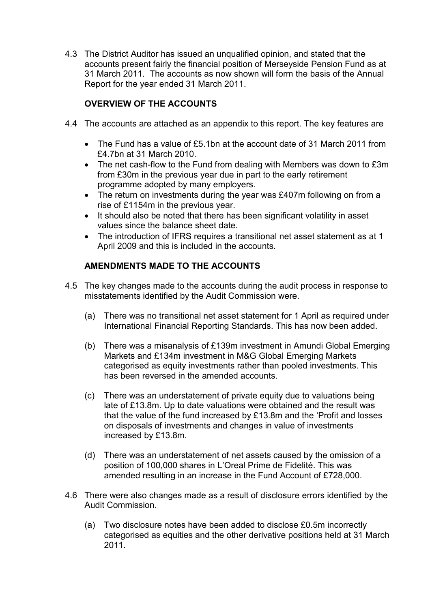4.3 The District Auditor has issued an unqualified opinion, and stated that the accounts present fairly the financial position of Merseyside Pension Fund as at 31 March 2011. The accounts as now shown will form the basis of the Annual Report for the year ended 31 March 2011.

# **OVERVIEW OF THE ACCOUNTS**

- 4.4 The accounts are attached as an appendix to this report. The key features are
	- The Fund has a value of £5.1bn at the account date of 31 March 2011 from £4.7bn at 31 March 2010.
	- The net cash-flow to the Fund from dealing with Members was down to £3m from £30m in the previous year due in part to the early retirement programme adopted by many employers.
	- The return on investments during the year was £407m following on from a rise of £1154m in the previous year.
	- It should also be noted that there has been significant volatility in asset values since the balance sheet date.
	- The introduction of IFRS requires a transitional net asset statement as at 1 April 2009 and this is included in the accounts.

# **AMENDMENTS MADE TO THE ACCOUNTS**

- 4.5 The key changes made to the accounts during the audit process in response to misstatements identified by the Audit Commission were.
	- (a) There was no transitional net asset statement for 1 April as required under International Financial Reporting Standards. This has now been added.
	- (b) There was a misanalysis of £139m investment in Amundi Global Emerging Markets and £134m investment in M&G Global Emerging Markets categorised as equity investments rather than pooled investments. This has been reversed in the amended accounts.
	- (c) There was an understatement of private equity due to valuations being late of £13.8m. Up to date valuations were obtained and the result was that the value of the fund increased by £13.8m and the 'Profit and losses on disposals of investments and changes in value of investments increased by £13.8m.
	- (d) There was an understatement of net assets caused by the omission of a position of 100,000 shares in L'Oreal Prime de Fidelité. This was amended resulting in an increase in the Fund Account of £728,000.
- 4.6 There were also changes made as a result of disclosure errors identified by the Audit Commission.
	- (a) Two disclosure notes have been added to disclose £0.5m incorrectly categorised as equities and the other derivative positions held at 31 March 2011.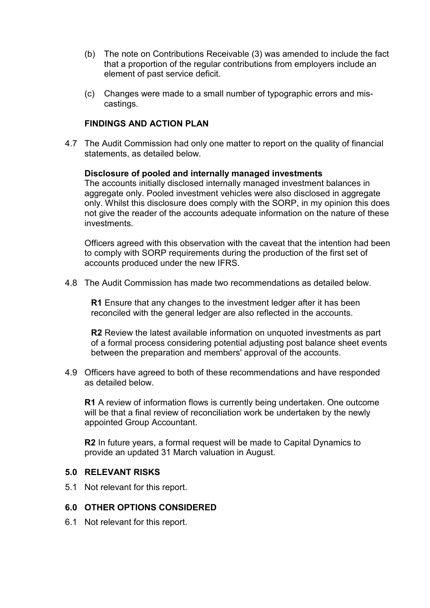- (b) The note on Contributions Receivable (3) was amended to include the fact that a proportion of the regular contributions from employers include an element of past service deficit.
- (c) Changes were made to a small number of typographic errors and miscastings.

### **FINDINGS AND ACTION PLAN**

4.7 The Audit Commission had only one matter to report on the quality of financial statements, as detailed below.

#### **Disclosure of pooled and internally managed investments**

The accounts initially disclosed internally managed investment balances in aggregate only. Pooled investment vehicles were also disclosed in aggregate only. Whilst this disclosure does comply with the SORP, in my opinion this does not give the reader of the accounts adequate information on the nature of these investments.

 Officers agreed with this observation with the caveat that the intention had been to comply with SORP requirements during the production of the first set of accounts produced under the new IFRS.

4.8 The Audit Commission has made two recommendations as detailed below.

**R1** Ensure that any changes to the investment ledger after it has been reconciled with the general ledger are also reflected in the accounts.

**R2** Review the latest available information on unquoted investments as part of a formal process considering potential adjusting post balance sheet events between the preparation and members' approval of the accounts.

4.9 Officers have agreed to both of these recommendations and have responded as detailed below.

**R1** A review of information flows is currently being undertaken. One outcome will be that a final review of reconciliation work be undertaken by the newly appointed Group Accountant.

 **R2** In future years, a formal request will be made to Capital Dynamics to provide an updated 31 March valuation in August.

#### **5.0 RELEVANT RISKS**

5.1 Not relevant for this report.

#### **6.0 OTHER OPTIONS CONSIDERED**

6.1 Not relevant for this report.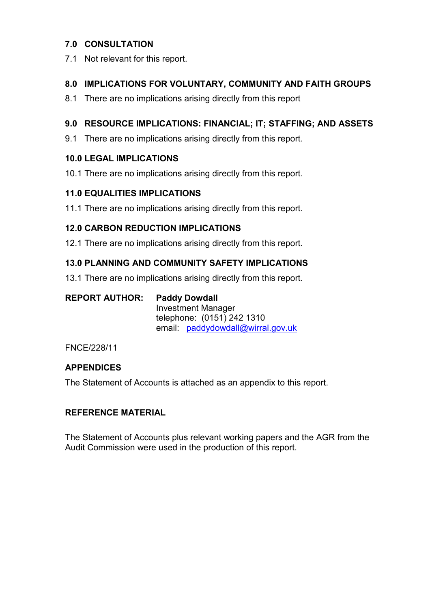# **7.0 CONSULTATION**

7.1 Not relevant for this report.

# **8.0 IMPLICATIONS FOR VOLUNTARY, COMMUNITY AND FAITH GROUPS**

8.1 There are no implications arising directly from this report

# **9.0 RESOURCE IMPLICATIONS: FINANCIAL; IT; STAFFING; AND ASSETS**

9.1 There are no implications arising directly from this report.

# **10.0 LEGAL IMPLICATIONS**

10.1 There are no implications arising directly from this report.

# **11.0 EQUALITIES IMPLICATIONS**

11.1 There are no implications arising directly from this report.

# **12.0 CARBON REDUCTION IMPLICATIONS**

12.1 There are no implications arising directly from this report.

# **13.0 PLANNING AND COMMUNITY SAFETY IMPLICATIONS**

13.1 There are no implications arising directly from this report.

**REPORT AUTHOR: Paddy Dowdall** Investment Manager telephone: (0151) 242 1310 email: paddydowdall@wirral.gov.uk

FNCE/228/11

# **APPENDICES**

The Statement of Accounts is attached as an appendix to this report.

#### **REFERENCE MATERIAL**

The Statement of Accounts plus relevant working papers and the AGR from the Audit Commission were used in the production of this report.